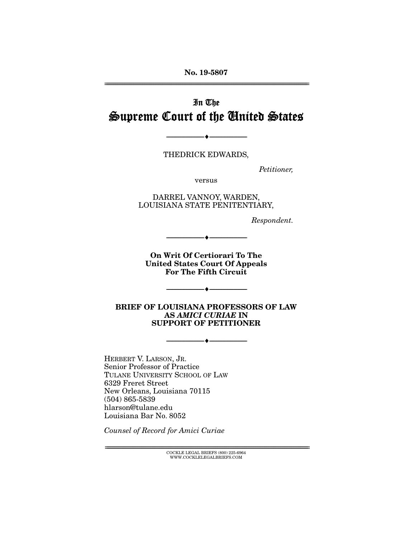No. 19-5807 ================================================================================================================

# In The Supreme Court of the United States

THEDRICK EDWARDS,

 $- \bullet -$ 

*Petitioner,* 

versus

DARREL VANNOY, WARDEN, LOUISIANA STATE PENITENTIARY,

*Respondent.* 

On Writ Of Certiorari To The United States Court Of Appeals For The Fifth Circuit

--------------------------------- ---------------------------------

 $- \bullet -$ 

BRIEF OF LOUISIANA PROFESSORS OF LAW AS *AMICI CURIAE* IN SUPPORT OF PETITIONER

--------------------------------- ---------------------------------

HERBERT V. LARSON, JR. Senior Professor of Practice TULANE UNIVERSITY SCHOOL OF LAW 6329 Freret Street New Orleans, Louisiana 70115 (504) 865-5839 hlarson@tulane.edu Louisiana Bar No. 8052

*Counsel of Record for Amici Curiae* 

 $\text{COCKLE LEGAL BRIEFS}$  (800) 225-6964 WWW.COCKLELEGALBRIEFS.COM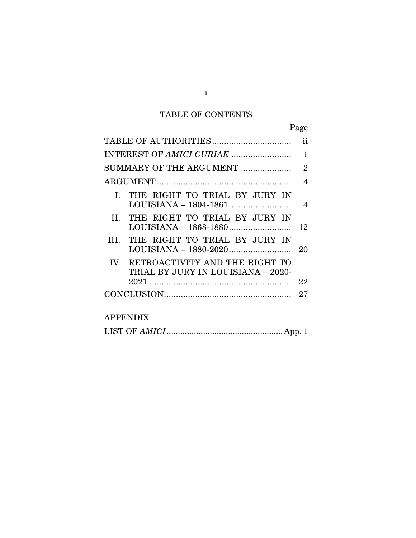# TABLE OF CONTENTS

| ۰, |
|----|
|----|

|       |                                                                          | ii             |
|-------|--------------------------------------------------------------------------|----------------|
|       |                                                                          | 1              |
|       | SUMMARY OF THE ARGUMENT                                                  | $\overline{2}$ |
|       |                                                                          | 4              |
|       | I. THE RIGHT TO TRIAL BY JURY IN                                         | 4              |
| H     | THE RIGHT TO TRIAL BY JURY IN<br>LOUISIANA - 1868-1880                   | 12             |
| TIT - | THE RIGHT TO TRIAL BY JURY IN                                            | 20             |
|       | IV. RETROACTIVITY AND THE RIGHT TO<br>TRIAL BY JURY IN LOUISIANA - 2020- |                |
|       | 2021                                                                     | 22             |
|       |                                                                          | 27             |
|       |                                                                          |                |
|       |                                                                          |                |

# APPENDIX

|--|--|--|--|--|

i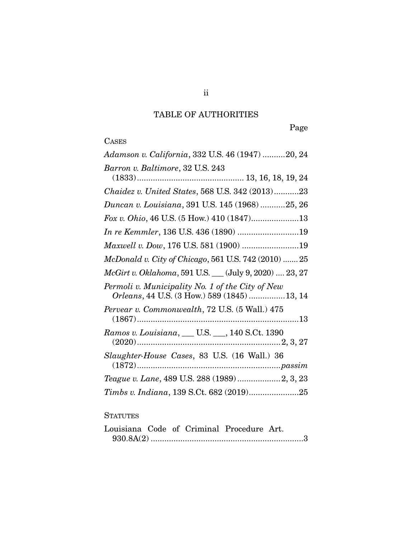# TABLE OF AUTHORITIES

Page

# **CASES**

| Adamson v. California, 332 U.S. 46 (1947) 20, 24                                                |
|-------------------------------------------------------------------------------------------------|
| Barron v. Baltimore, 32 U.S. 243                                                                |
| Chaidez v. United States, 568 U.S. 342 (2013)23                                                 |
| Duncan v. Louisiana, 391 U.S. 145 (1968) 25, 26                                                 |
| Fox v. Ohio, 46 U.S. (5 How.) 410 (1847)13                                                      |
| In re Kemmler, 136 U.S. 436 (1890) 19                                                           |
| Maxwell v. Dow, 176 U.S. 581 (1900) 19                                                          |
| McDonald v. City of Chicago, 561 U.S. 742 (2010)  25                                            |
| McGirt v. Oklahoma, 591 U.S. __ (July 9, 2020)  23, 27                                          |
| Permoli v. Municipality No. 1 of the City of New<br>Orleans, 44 U.S. (3 How.) 589 (1845) 13, 14 |
| Pervear v. Commonwealth, 72 U.S. (5 Wall.) 475                                                  |
| Ramos v. Louisiana, ___ U.S. ___, 140 S.Ct. 1390                                                |
| Slaughter-House Cases, 83 U.S. (16 Wall.) 36                                                    |
| Teague v. Lane, 489 U.S. 288 (1989)2, 3, 23                                                     |
| Timbs v. Indiana, 139 S.Ct. 682 (2019)25                                                        |

## **STATUTES**

|  |  | Louisiana Code of Criminal Procedure Art. |  |
|--|--|-------------------------------------------|--|
|  |  |                                           |  |

ii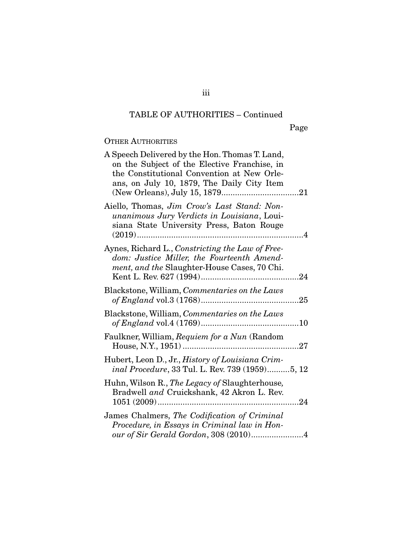Page

## OTHER AUTHORITIES

| A Speech Delivered by the Hon. Thomas T. Land,<br>on the Subject of the Elective Franchise, in<br>the Constitutional Convention at New Orle-<br>ans, on July 10, 1879, The Daily City Item |  |
|--------------------------------------------------------------------------------------------------------------------------------------------------------------------------------------------|--|
| Aiello, Thomas, Jim Crow's Last Stand: Non-<br>unanimous Jury Verdicts in Louisiana, Loui-<br>siana State University Press, Baton Rouge                                                    |  |
| Aynes, Richard L., Constricting the Law of Free-<br>dom: Justice Miller, the Fourteenth Amend-<br>ment, and the Slaughter-House Cases, 70 Chi.                                             |  |
| Blackstone, William, Commentaries on the Laws                                                                                                                                              |  |
| Blackstone, William, Commentaries on the Laws                                                                                                                                              |  |
| Faulkner, William, Requiem for a Nun (Random                                                                                                                                               |  |
| Hubert, Leon D., Jr., History of Louisiana Crim-<br>inal Procedure, 33 Tul. L. Rev. 739 (1959)5, 12                                                                                        |  |
| Huhn, Wilson R., The Legacy of Slaughterhouse,<br>Bradwell and Cruickshank, 42 Akron L. Rev.                                                                                               |  |
| James Chalmers, The Codification of Criminal<br>Procedure, in Essays in Criminal law in Hon-<br>our of Sir Gerald Gordon, 308 (2010)4                                                      |  |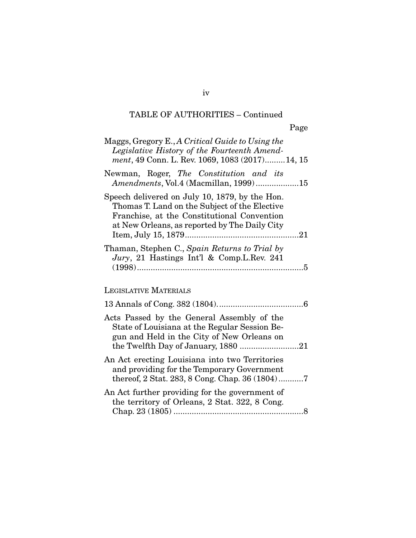| Maggs, Gregory E., A Critical Guide to Using the<br>Legislative History of the Fourteenth Amend-<br>ment, 49 Conn. L. Rev. 1069, 1083 (2017)14, 15                                              |
|-------------------------------------------------------------------------------------------------------------------------------------------------------------------------------------------------|
| Newman, Roger, The Constitution and its<br>Amendments, Vol.4 (Macmillan, 1999)15                                                                                                                |
| Speech delivered on July 10, 1879, by the Hon.<br>Thomas T. Land on the Subject of the Elective<br>Franchise, at the Constitutional Convention<br>at New Orleans, as reported by The Daily City |
| Thaman, Stephen C., Spain Returns to Trial by<br>Jury, 21 Hastings Int'l & Comp.L.Rev. 241                                                                                                      |
| <b>LEGISLATIVE MATERIALS</b>                                                                                                                                                                    |
|                                                                                                                                                                                                 |
| Acts Passed by the General Assembly of the<br>State of Louisiana at the Regular Session Be-<br>gun and Held in the City of New Orleans on                                                       |
| An Act erecting Louisiana into two Territories<br>and providing for the Temporary Government<br>thereof, 2 Stat. 283, 8 Cong. Chap. 36 (1804)7                                                  |
| An Act further providing for the government of<br>the territory of Orleans, 2 Stat. 322, 8 Cong.                                                                                                |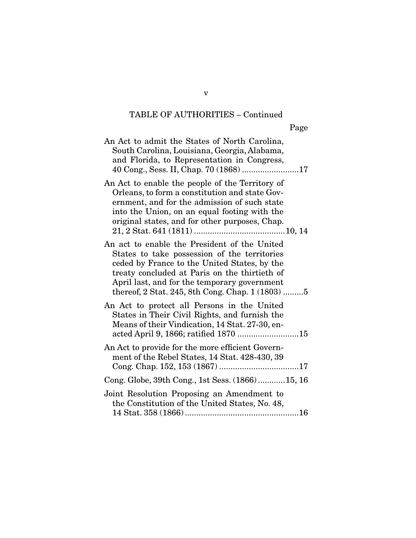| An Act to admit the States of North Carolina,<br>South Carolina, Louisiana, Georgia, Alabama,<br>and Florida, to Representation in Congress,<br>40 Cong., Sess. II, Chap. 70 (1868) 17                                                                                                              |
|-----------------------------------------------------------------------------------------------------------------------------------------------------------------------------------------------------------------------------------------------------------------------------------------------------|
| An Act to enable the people of the Territory of<br>Orleans, to form a constitution and state Gov-<br>ernment, and for the admission of such state<br>into the Union, on an equal footing with the<br>original states, and for other purposes, Chap.                                                 |
| An act to enable the President of the United<br>States to take possession of the territories<br>ceded by France to the United States, by the<br>treaty concluded at Paris on the thirtieth of<br>April last, and for the temporary government<br>thereof, 2 Stat. 245, 8th Cong. Chap. 1 $(1803)$ 5 |
| An Act to protect all Persons in the United<br>States in Their Civil Rights, and furnish the<br>Means of their Vindication, 14 Stat. 27-30, en-<br>acted April 9, 1866; ratified 1870 15                                                                                                            |
| An Act to provide for the more efficient Govern-<br>ment of the Rebel States, 14 Stat. 428-430, 39                                                                                                                                                                                                  |
| Cong. Globe, 39th Cong., 1st Sess. (1866)15, 16                                                                                                                                                                                                                                                     |
| Joint Resolution Proposing an Amendment to<br>the Constitution of the United States, No. 48,                                                                                                                                                                                                        |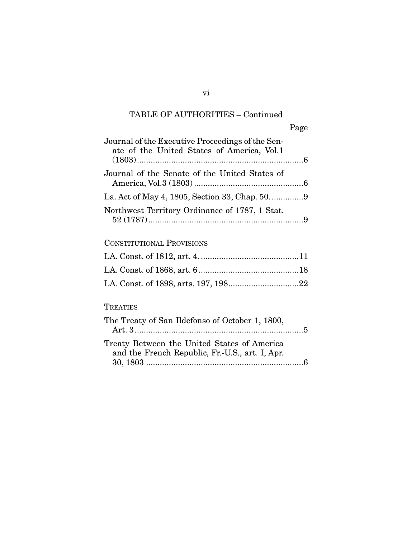|                                                                                                | Page |
|------------------------------------------------------------------------------------------------|------|
| Journal of the Executive Proceedings of the Sen-<br>ate of the United States of America, Vol.1 |      |
| Journal of the Senate of the United States of                                                  |      |
|                                                                                                |      |
| Northwest Territory Ordinance of 1787, 1 Stat.                                                 |      |

## CONSTITUTIONAL PROVISIONS

## TREATIES

| The Treaty of San Ildefonso of October 1, 1800, |  |
|-------------------------------------------------|--|
|                                                 |  |
| Treaty Between the United States of America     |  |
| and the French Republic, Fr.-U.S., art. I, Apr. |  |
|                                                 |  |

vi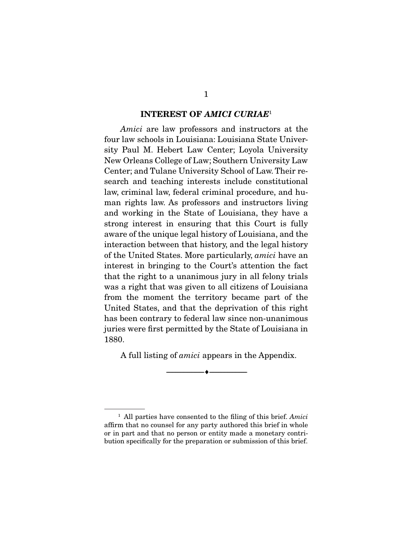#### INTEREST OF *AMICI CURIAE*<sup>1</sup>

*Amici* are law professors and instructors at the four law schools in Louisiana: Louisiana State University Paul M. Hebert Law Center; Loyola University New Orleans College of Law; Southern University Law Center; and Tulane University School of Law. Their research and teaching interests include constitutional law, criminal law, federal criminal procedure, and human rights law. As professors and instructors living and working in the State of Louisiana, they have a strong interest in ensuring that this Court is fully aware of the unique legal history of Louisiana, and the interaction between that history, and the legal history of the United States. More particularly, *amici* have an interest in bringing to the Court's attention the fact that the right to a unanimous jury in all felony trials was a right that was given to all citizens of Louisiana from the moment the territory became part of the United States, and that the deprivation of this right has been contrary to federal law since non-unanimous juries were first permitted by the State of Louisiana in 1880.

A full listing of *amici* appears in the Appendix.

--------------------------------- ---------------------------------

<sup>1</sup> All parties have consented to the filing of this brief. *Amici*  affirm that no counsel for any party authored this brief in whole or in part and that no person or entity made a monetary contribution specifically for the preparation or submission of this brief.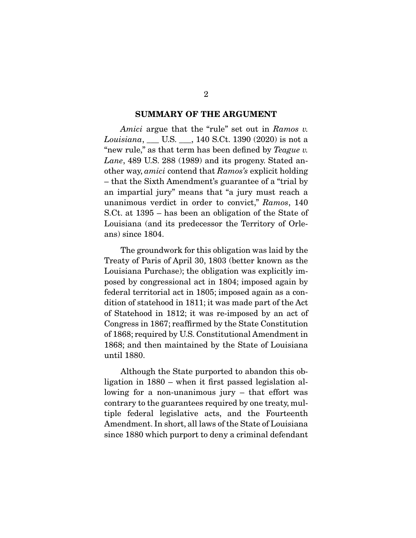#### SUMMARY OF THE ARGUMENT

*Amici* argue that the "rule" set out in *Ramos v. Louisiana*, \_\_\_ U.S. \_\_\_, 140 S.Ct. 1390 (2020) is not a "new rule," as that term has been defined by *Teague v. Lane*, 489 U.S. 288 (1989) and its progeny. Stated another way, *amici* contend that *Ramos's* explicit holding – that the Sixth Amendment's guarantee of a "trial by an impartial jury" means that "a jury must reach a unanimous verdict in order to convict," *Ramos*, 140 S.Ct. at 1395 – has been an obligation of the State of Louisiana (and its predecessor the Territory of Orleans) since 1804.

 The groundwork for this obligation was laid by the Treaty of Paris of April 30, 1803 (better known as the Louisiana Purchase); the obligation was explicitly imposed by congressional act in 1804; imposed again by federal territorial act in 1805; imposed again as a condition of statehood in 1811; it was made part of the Act of Statehood in 1812; it was re-imposed by an act of Congress in 1867; reaffirmed by the State Constitution of 1868; required by U.S. Constitutional Amendment in 1868; and then maintained by the State of Louisiana until 1880.

 Although the State purported to abandon this obligation in 1880 – when it first passed legislation allowing for a non-unanimous jury – that effort was contrary to the guarantees required by one treaty, multiple federal legislative acts, and the Fourteenth Amendment. In short, all laws of the State of Louisiana since 1880 which purport to deny a criminal defendant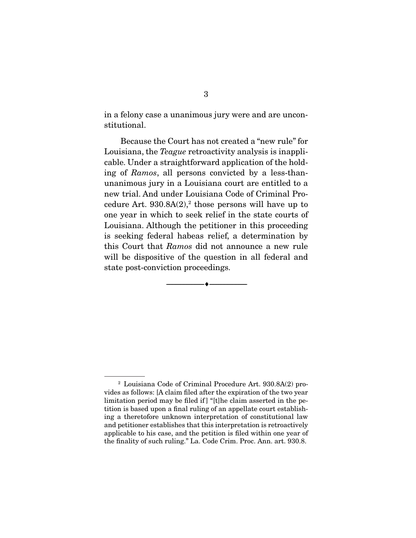in a felony case a unanimous jury were and are unconstitutional.

 Because the Court has not created a "new rule" for Louisiana, the *Teague* retroactivity analysis is inapplicable. Under a straightforward application of the holding of *Ramos*, all persons convicted by a less-thanunanimous jury in a Louisiana court are entitled to a new trial. And under Louisiana Code of Criminal Procedure Art.  $930.8A(2),$ <sup>2</sup> those persons will have up to one year in which to seek relief in the state courts of Louisiana. Although the petitioner in this proceeding is seeking federal habeas relief, a determination by this Court that *Ramos* did not announce a new rule will be dispositive of the question in all federal and state post-conviction proceedings.

--------------------------------- ---------------------------------

<sup>2</sup> Louisiana Code of Criminal Procedure Art. 930.8A(2) provides as follows: [A claim filed after the expiration of the two year limitation period may be filed if  $|$  "[t]he claim asserted in the petition is based upon a final ruling of an appellate court establishing a theretofore unknown interpretation of constitutional law and petitioner establishes that this interpretation is retroactively applicable to his case, and the petition is filed within one year of the finality of such ruling." La. Code Crim. Proc. Ann. art. 930.8.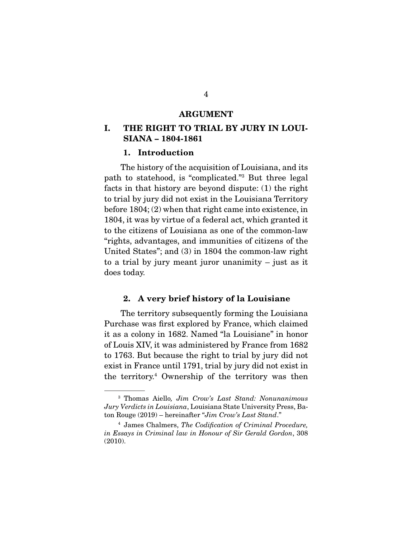#### ARGUMENT

## I. THE RIGHT TO TRIAL BY JURY IN LOUI-SIANA – 1804-1861

#### 1. Introduction

 The history of the acquisition of Louisiana, and its path to statehood, is "complicated."3 But three legal facts in that history are beyond dispute: (1) the right to trial by jury did not exist in the Louisiana Territory before 1804; (2) when that right came into existence, in 1804, it was by virtue of a federal act, which granted it to the citizens of Louisiana as one of the common-law "rights, advantages, and immunities of citizens of the United States"; and (3) in 1804 the common-law right to a trial by jury meant juror unanimity – just as it does today.

### 2. A very brief history of la Louisiane

 The territory subsequently forming the Louisiana Purchase was first explored by France, which claimed it as a colony in 1682. Named "la Louisiane" in honor of Louis XIV, it was administered by France from 1682 to 1763. But because the right to trial by jury did not exist in France until 1791, trial by jury did not exist in the territory.4 Ownership of the territory was then

<sup>3</sup> Thomas Aiello*, Jim Crow's Last Stand: Nonunanimous Jury Verdicts in Louisiana*, Louisiana State University Press, Baton Rouge (2019) – hereinafter "*Jim Crow's Last Stand*."

<sup>4</sup> James Chalmers, *The Codification of Criminal Procedure, in Essays in Criminal law in Honour of Sir Gerald Gordon*, 308 (2010).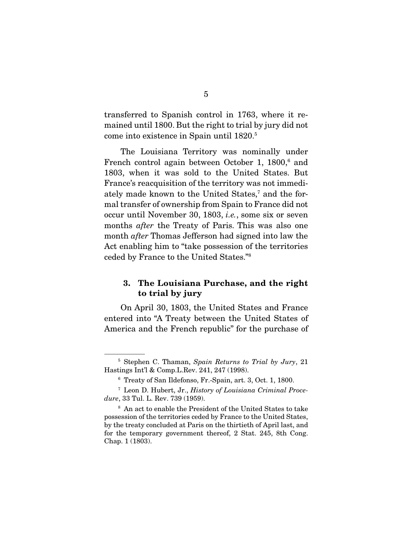transferred to Spanish control in 1763, where it remained until 1800. But the right to trial by jury did not come into existence in Spain until 1820.5

 The Louisiana Territory was nominally under French control again between October 1, 1800,<sup>6</sup> and 1803, when it was sold to the United States. But France's reacquisition of the territory was not immediately made known to the United States,<sup>7</sup> and the formal transfer of ownership from Spain to France did not occur until November 30, 1803, *i.e.*, some six or seven months *after* the Treaty of Paris. This was also one month *after* Thomas Jefferson had signed into law the Act enabling him to "take possession of the territories ceded by France to the United States."8

## 3. The Louisiana Purchase, and the right to trial by jury

 On April 30, 1803, the United States and France entered into "A Treaty between the United States of America and the French republic" for the purchase of

<sup>5</sup> Stephen C. Thaman, *Spain Returns to Trial by Jury*, 21 Hastings Int'l & Comp.L.Rev. 241, 247 (1998).

<sup>6</sup> Treaty of San Ildefonso, Fr.-Spain, art. 3, Oct. 1, 1800.

<sup>7</sup> Leon D. Hubert, Jr., *History of Louisiana Criminal Procedure*, 33 Tul. L. Rev. 739 (1959).

<sup>8</sup> An act to enable the President of the United States to take possession of the territories ceded by France to the United States, by the treaty concluded at Paris on the thirtieth of April last, and for the temporary government thereof, 2 Stat. 245, 8th Cong. Chap. 1 (1803).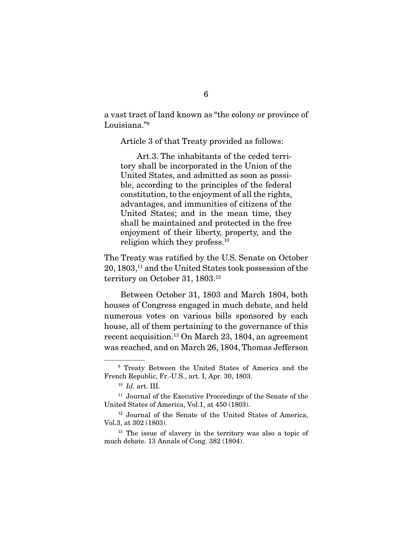a vast tract of land known as "the colony or province of Louisiana."<sup>9</sup>

Article 3 of that Treaty provided as follows:

 Art.3. The inhabitants of the ceded territory shall be incorporated in the Union of the United States, and admitted as soon as possible, according to the principles of the federal constitution, to the enjoyment of all the rights, advantages, and immunities of citizens of the United States; and in the mean time, they shall be maintained and protected in the free enjoyment of their liberty, property, and the religion which they profess.<sup>10</sup>

The Treaty was ratified by the U.S. Senate on October 20, 1803,11 and the United States took possession of the territory on October 31, 1803.<sup>12</sup>

 Between October 31, 1803 and March 1804, both houses of Congress engaged in much debate, and held numerous votes on various bills sponsored by each house, all of them pertaining to the governance of this recent acquisition.13 On March 23, 1804, an agreement was reached, and on March 26, 1804, Thomas Jefferson

<sup>9</sup> Treaty Between the United States of America and the French Republic, Fr.-U.S., art. I, Apr. 30, 1803.

<sup>10</sup> *Id.* art. III.

<sup>&</sup>lt;sup>11</sup> Journal of the Executive Proceedings of the Senate of the United States of America, Vol.1, at 450 (1803).

<sup>12</sup> Journal of the Senate of the United States of America, Vol.3, at 302 (1803).

<sup>&</sup>lt;sup>13</sup> The issue of slavery in the territory was also a topic of much debate. 13 Annals of Cong. 382 (1804).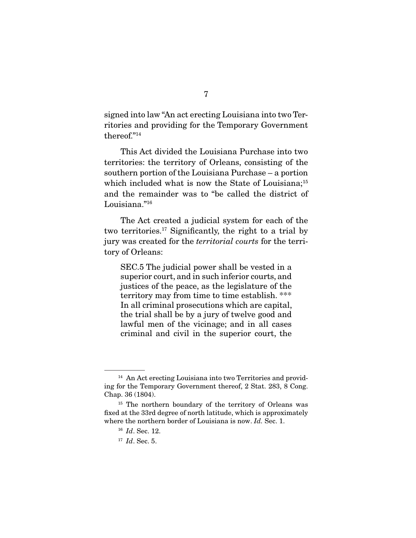signed into law "An act erecting Louisiana into two Territories and providing for the Temporary Government thereof."14

 This Act divided the Louisiana Purchase into two territories: the territory of Orleans, consisting of the southern portion of the Louisiana Purchase – a portion which included what is now the State of Louisiana;<sup>15</sup> and the remainder was to "be called the district of Louisiana."16

 The Act created a judicial system for each of the two territories.17 Significantly, the right to a trial by jury was created for the *territorial courts* for the territory of Orleans:

SEC.5 The judicial power shall be vested in a superior court, and in such inferior courts, and justices of the peace, as the legislature of the territory may from time to time establish. \*\*\* In all criminal prosecutions which are capital, the trial shall be by a jury of twelve good and lawful men of the vicinage; and in all cases criminal and civil in the superior court, the

<sup>&</sup>lt;sup>14</sup> An Act erecting Louisiana into two Territories and providing for the Temporary Government thereof, 2 Stat. 283, 8 Cong. Chap. 36 (1804).

<sup>&</sup>lt;sup>15</sup> The northern boundary of the territory of Orleans was fixed at the 33rd degree of north latitude, which is approximately where the northern border of Louisiana is now. *Id.* Sec. 1.

<sup>16</sup> *Id*. Sec. 12.

<sup>17</sup> *Id*. Sec. 5.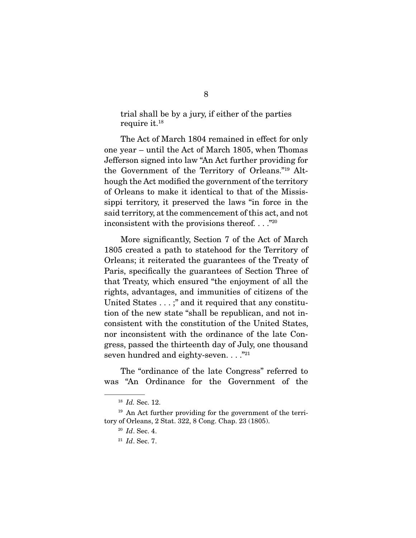trial shall be by a jury, if either of the parties require it.18

 The Act of March 1804 remained in effect for only one year – until the Act of March 1805, when Thomas Jefferson signed into law "An Act further providing for the Government of the Territory of Orleans."19 Although the Act modified the government of the territory of Orleans to make it identical to that of the Mississippi territory, it preserved the laws "in force in the said territory, at the commencement of this act, and not inconsistent with the provisions thereof. . . ."20

 More significantly, Section 7 of the Act of March 1805 created a path to statehood for the Territory of Orleans; it reiterated the guarantees of the Treaty of Paris, specifically the guarantees of Section Three of that Treaty, which ensured "the enjoyment of all the rights, advantages, and immunities of citizens of the United States . . . ;" and it required that any constitution of the new state "shall be republican, and not inconsistent with the constitution of the United States, nor inconsistent with the ordinance of the late Congress, passed the thirteenth day of July, one thousand seven hundred and eighty-seven. . . . "21

 The "ordinance of the late Congress" referred to was "An Ordinance for the Government of the

<sup>18</sup> *Id.* Sec. 12.

<sup>19</sup> An Act further providing for the government of the territory of Orleans, 2 Stat. 322, 8 Cong. Chap. 23 (1805).

<sup>20</sup> *Id*. Sec. 4.

<sup>21</sup> *Id*. Sec. 7.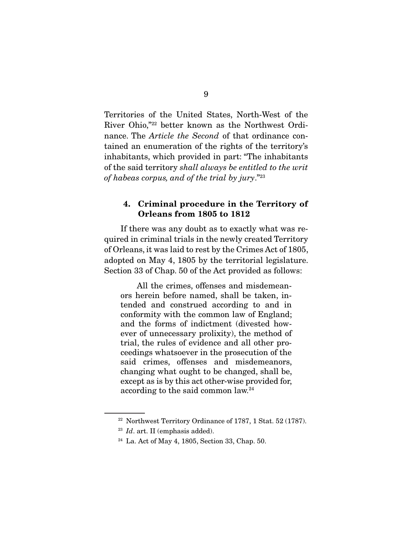Territories of the United States, North-West of the River Ohio,"22 better known as the Northwest Ordinance. The *Article the Second* of that ordinance contained an enumeration of the rights of the territory's inhabitants, which provided in part: "The inhabitants of the said territory *shall always be entitled to the writ of habeas corpus, and of the trial by jury*."23

### 4. Criminal procedure in the Territory of Orleans from 1805 to 1812

 If there was any doubt as to exactly what was required in criminal trials in the newly created Territory of Orleans, it was laid to rest by the Crimes Act of 1805, adopted on May 4, 1805 by the territorial legislature. Section 33 of Chap. 50 of the Act provided as follows:

 All the crimes, offenses and misdemeanors herein before named, shall be taken, intended and construed according to and in conformity with the common law of England; and the forms of indictment (divested however of unnecessary prolixity), the method of trial, the rules of evidence and all other proceedings whatsoever in the prosecution of the said crimes, offenses and misdemeanors, changing what ought to be changed, shall be, except as is by this act other-wise provided for, according to the said common law.24

<sup>&</sup>lt;sup>22</sup> Northwest Territory Ordinance of 1787, 1 Stat. 52 (1787).

<sup>23</sup> *Id*. art. II (emphasis added).

<sup>24</sup> La. Act of May 4, 1805, Section 33, Chap. 50.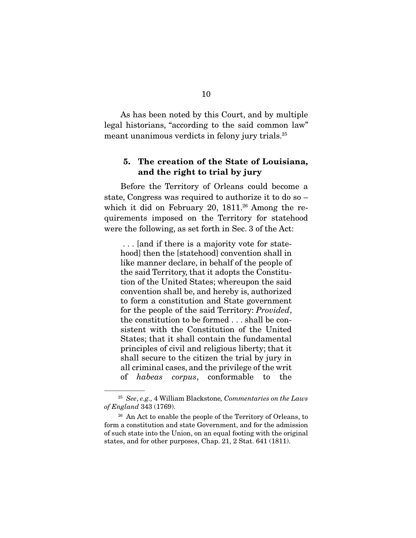As has been noted by this Court, and by multiple legal historians, "according to the said common law" meant unanimous verdicts in felony jury trials.<sup>25</sup>

## 5. The creation of the State of Louisiana, and the right to trial by jury

 Before the Territory of Orleans could become a state, Congress was required to authorize it to do so – which it did on February 20,  $1811.^{26}$  Among the requirements imposed on the Territory for statehood were the following, as set forth in Sec. 3 of the Act:

 . . . [and if there is a majority vote for statehood] then the [statehood] convention shall in like manner declare, in behalf of the people of the said Territory, that it adopts the Constitution of the United States; whereupon the said convention shall be, and hereby is, authorized to form a constitution and State government for the people of the said Territory: *Provided*, the constitution to be formed . . . shall be consistent with the Constitution of the United States; that it shall contain the fundamental principles of civil and religious liberty; that it shall secure to the citizen the trial by jury in all criminal cases, and the privilege of the writ of *habeas corpus*, conformable to the

<sup>25</sup> *See*, *e.g.,* 4 William Blackstone*, Commentaries on the Laws of England* 343 (1769).

 $26$  An Act to enable the people of the Territory of Orleans, to form a constitution and state Government, and for the admission of such state into the Union, on an equal footing with the original states, and for other purposes, Chap. 21, 2 Stat. 641 (1811).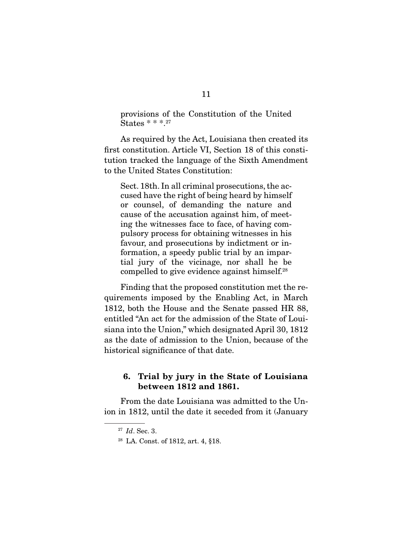provisions of the Constitution of the United States \* \* \*.27

 As required by the Act, Louisiana then created its first constitution. Article VI, Section 18 of this constitution tracked the language of the Sixth Amendment to the United States Constitution:

Sect. 18th. In all criminal prosecutions, the accused have the right of being heard by himself or counsel, of demanding the nature and cause of the accusation against him, of meeting the witnesses face to face, of having compulsory process for obtaining witnesses in his favour, and prosecutions by indictment or information, a speedy public trial by an impartial jury of the vicinage, nor shall he be compelled to give evidence against himself.28

 Finding that the proposed constitution met the requirements imposed by the Enabling Act, in March 1812, both the House and the Senate passed HR 88, entitled "An act for the admission of the State of Louisiana into the Union," which designated April 30, 1812 as the date of admission to the Union, because of the historical significance of that date.

### 6. Trial by jury in the State of Louisiana between 1812 and 1861.

 From the date Louisiana was admitted to the Union in 1812, until the date it seceded from it (January

<sup>27</sup> *Id*. Sec. 3.

<sup>28</sup> LA. Const. of 1812, art. 4, §18.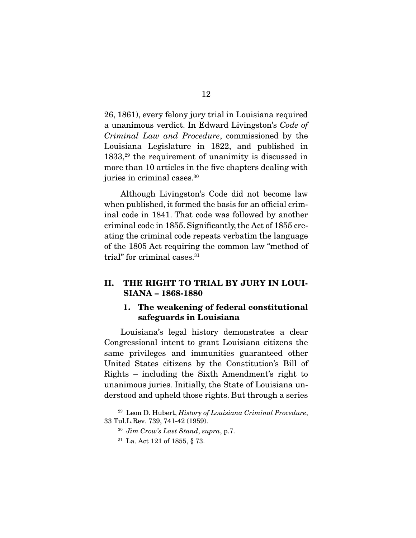26, 1861), every felony jury trial in Louisiana required a unanimous verdict. In Edward Livingston's *Code of Criminal Law and Procedure*, commissioned by the Louisiana Legislature in 1822, and published in 1833,29 the requirement of unanimity is discussed in more than 10 articles in the five chapters dealing with juries in criminal cases.30

 Although Livingston's Code did not become law when published, it formed the basis for an official criminal code in 1841. That code was followed by another criminal code in 1855. Significantly, the Act of 1855 creating the criminal code repeats verbatim the language of the 1805 Act requiring the common law "method of trial" for criminal cases.<sup>31</sup>

## II. THE RIGHT TO TRIAL BY JURY IN LOUI-SIANA – 1868-1880

## 1. The weakening of federal constitutional safeguards in Louisiana

 Louisiana's legal history demonstrates a clear Congressional intent to grant Louisiana citizens the same privileges and immunities guaranteed other United States citizens by the Constitution's Bill of Rights – including the Sixth Amendment's right to unanimous juries. Initially, the State of Louisiana understood and upheld those rights. But through a series

<sup>29</sup> Leon D. Hubert, *History of Louisiana Criminal Procedure*, 33 Tul.L.Rev. 739, 741-42 (1959).

<sup>30</sup> *Jim Crow's Last Stand*, *supra*, p.7.

<sup>31</sup> La. Act 121 of 1855, § 73.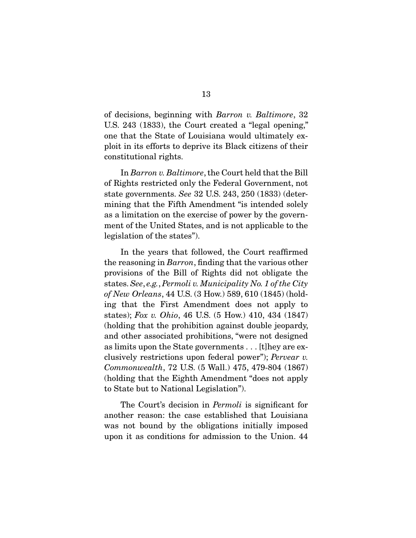of decisions, beginning with *Barron v. Baltimore*, 32 U.S. 243 (1833), the Court created a "legal opening," one that the State of Louisiana would ultimately exploit in its efforts to deprive its Black citizens of their constitutional rights.

 In *Barron v. Baltimore*, the Court held that the Bill of Rights restricted only the Federal Government, not state governments. *See* 32 U.S. 243, 250 (1833) (determining that the Fifth Amendment "is intended solely as a limitation on the exercise of power by the government of the United States, and is not applicable to the legislation of the states").

 In the years that followed, the Court reaffirmed the reasoning in *Barron*, finding that the various other provisions of the Bill of Rights did not obligate the states. *See*, *e.g.*, *Permoli v. Municipality No. 1 of the City of New Orleans*, 44 U.S. (3 How.) 589, 610 (1845) (holding that the First Amendment does not apply to states); *Fox v. Ohio*, 46 U.S. (5 How.) 410, 434 (1847) (holding that the prohibition against double jeopardy, and other associated prohibitions, "were not designed as limits upon the State governments . . . [t]hey are exclusively restrictions upon federal power"); *Pervear v. Commonwealth*, 72 U.S. (5 Wall.) 475, 479-804 (1867) (holding that the Eighth Amendment "does not apply to State but to National Legislation").

 The Court's decision in *Permoli* is significant for another reason: the case established that Louisiana was not bound by the obligations initially imposed upon it as conditions for admission to the Union. 44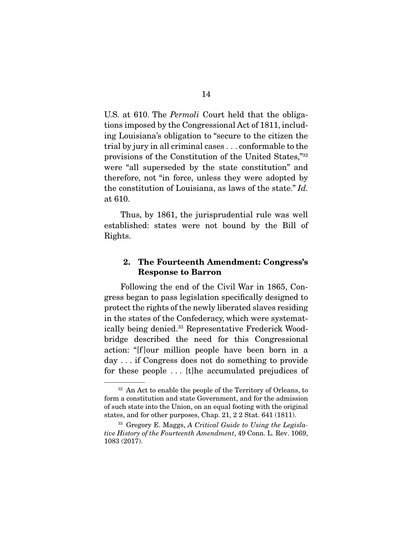U.S. at 610. The *Permoli* Court held that the obligations imposed by the Congressional Act of 1811, including Louisiana's obligation to "secure to the citizen the trial by jury in all criminal cases . . . conformable to the provisions of the Constitution of the United States,"32 were "all superseded by the state constitution" and therefore, not "in force, unless they were adopted by the constitution of Louisiana, as laws of the state." *Id.*  at 610.

 Thus, by 1861, the jurisprudential rule was well established: states were not bound by the Bill of Rights.

### 2. The Fourteenth Amendment: Congress's Response to Barron

 Following the end of the Civil War in 1865, Congress began to pass legislation specifically designed to protect the rights of the newly liberated slaves residing in the states of the Confederacy, which were systematically being denied.33 Representative Frederick Woodbridge described the need for this Congressional action: "[f ]our million people have been born in a day . . . if Congress does not do something to provide for these people . . . [t]he accumulated prejudices of

 $32$  An Act to enable the people of the Territory of Orleans, to form a constitution and state Government, and for the admission of such state into the Union, on an equal footing with the original states, and for other purposes, Chap. 21, 2 2 Stat. 641 (1811).

<sup>33</sup> Gregory E. Maggs, *A Critical Guide to Using the Legislative History of the Fourteenth Amendment*, 49 Conn. L. Rev. 1069, 1083 (2017).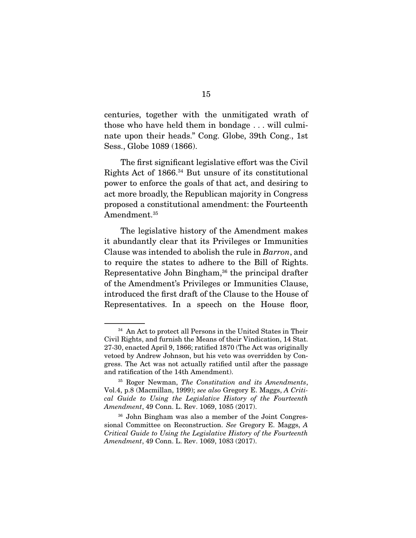centuries, together with the unmitigated wrath of those who have held them in bondage . . . will culminate upon their heads." Cong. Globe, 39th Cong., 1st Sess., Globe 1089 (1866).

 The first significant legislative effort was the Civil Rights Act of 1866.34 But unsure of its constitutional power to enforce the goals of that act, and desiring to act more broadly, the Republican majority in Congress proposed a constitutional amendment: the Fourteenth Amendment.<sup>35</sup>

 The legislative history of the Amendment makes it abundantly clear that its Privileges or Immunities Clause was intended to abolish the rule in *Barron*, and to require the states to adhere to the Bill of Rights. Representative John Bingham,36 the principal drafter of the Amendment's Privileges or Immunities Clause, introduced the first draft of the Clause to the House of Representatives. In a speech on the House floor,

<sup>&</sup>lt;sup>34</sup> An Act to protect all Persons in the United States in Their Civil Rights, and furnish the Means of their Vindication, 14 Stat. 27-30, enacted April 9, 1866; ratified 1870 (The Act was originally vetoed by Andrew Johnson, but his veto was overridden by Congress. The Act was not actually ratified until after the passage and ratification of the 14th Amendment).

<sup>35</sup> Roger Newman, *The Constitution and its Amendments*, Vol.4, p.8 (Macmillan, 1999); *see also* Gregory E. Maggs, *A Critical Guide to Using the Legislative History of the Fourteenth Amendment*, 49 Conn. L. Rev. 1069, 1085 (2017).

<sup>36</sup> John Bingham was also a member of the Joint Congressional Committee on Reconstruction. *See* Gregory E. Maggs, *A Critical Guide to Using the Legislative History of the Fourteenth Amendment*, 49 Conn. L. Rev. 1069, 1083 (2017).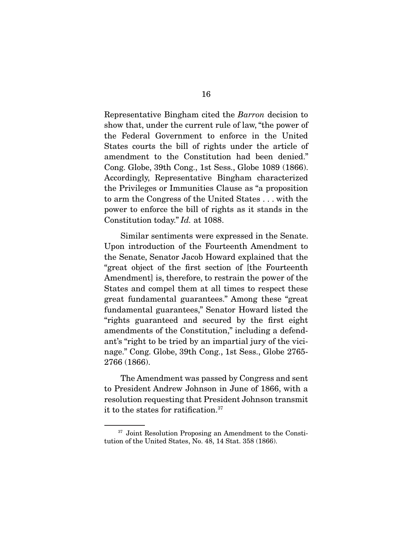Representative Bingham cited the *Barron* decision to show that, under the current rule of law, "the power of the Federal Government to enforce in the United States courts the bill of rights under the article of amendment to the Constitution had been denied." Cong. Globe, 39th Cong., 1st Sess., Globe 1089 (1866). Accordingly, Representative Bingham characterized the Privileges or Immunities Clause as "a proposition to arm the Congress of the United States . . . with the power to enforce the bill of rights as it stands in the Constitution today." *Id.* at 1088.

 Similar sentiments were expressed in the Senate. Upon introduction of the Fourteenth Amendment to the Senate, Senator Jacob Howard explained that the "great object of the first section of [the Fourteenth Amendment] is, therefore, to restrain the power of the States and compel them at all times to respect these great fundamental guarantees." Among these "great fundamental guarantees," Senator Howard listed the "rights guaranteed and secured by the first eight amendments of the Constitution," including a defendant's "right to be tried by an impartial jury of the vicinage." Cong. Globe, 39th Cong., 1st Sess., Globe 2765- 2766 (1866).

 The Amendment was passed by Congress and sent to President Andrew Johnson in June of 1866, with a resolution requesting that President Johnson transmit it to the states for ratification.37

<sup>37</sup> Joint Resolution Proposing an Amendment to the Constitution of the United States, No. 48, 14 Stat. 358 (1866).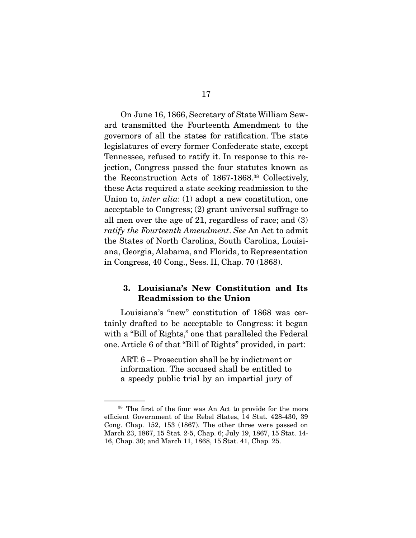On June 16, 1866, Secretary of State William Seward transmitted the Fourteenth Amendment to the governors of all the states for ratification. The state legislatures of every former Confederate state, except Tennessee, refused to ratify it. In response to this rejection, Congress passed the four statutes known as the Reconstruction Acts of 1867-1868.38 Collectively, these Acts required a state seeking readmission to the Union to, *inter alia*: (1) adopt a new constitution, one acceptable to Congress; (2) grant universal suffrage to all men over the age of 21, regardless of race; and (3) *ratify the Fourteenth Amendment*. *See* An Act to admit the States of North Carolina, South Carolina, Louisiana, Georgia, Alabama, and Florida, to Representation in Congress, 40 Cong., Sess. II, Chap. 70 (1868).

## 3. Louisiana's New Constitution and Its Readmission to the Union

 Louisiana's "new" constitution of 1868 was certainly drafted to be acceptable to Congress: it began with a "Bill of Rights," one that paralleled the Federal one. Article 6 of that "Bill of Rights" provided, in part:

ART. 6 – Prosecution shall be by indictment or information. The accused shall be entitled to a speedy public trial by an impartial jury of

<sup>&</sup>lt;sup>38</sup> The first of the four was An Act to provide for the more efficient Government of the Rebel States, 14 Stat. 428-430, 39 Cong. Chap. 152, 153 (1867). The other three were passed on March 23, 1867, 15 Stat. 2-5, Chap. 6; July 19, 1867, 15 Stat. 14- 16, Chap. 30; and March 11, 1868, 15 Stat. 41, Chap. 25.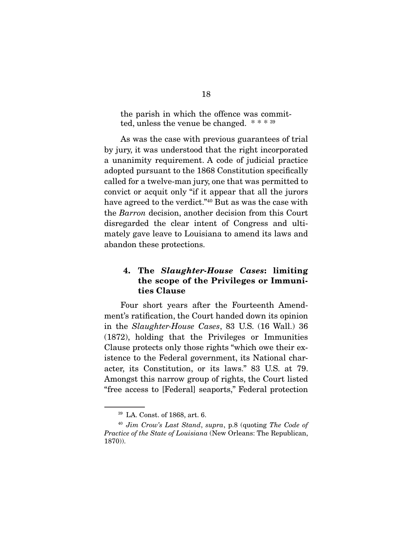the parish in which the offence was committed, unless the venue be changed. \* \* \* 39

 As was the case with previous guarantees of trial by jury, it was understood that the right incorporated a unanimity requirement. A code of judicial practice adopted pursuant to the 1868 Constitution specifically called for a twelve-man jury, one that was permitted to convict or acquit only "if it appear that all the jurors have agreed to the verdict."40 But as was the case with the *Barron* decision, another decision from this Court disregarded the clear intent of Congress and ultimately gave leave to Louisiana to amend its laws and abandon these protections.

## 4. The *Slaughter-House Cases*: limiting the scope of the Privileges or Immunities Clause

 Four short years after the Fourteenth Amendment's ratification, the Court handed down its opinion in the *Slaughter-House Cases*, 83 U.S. (16 Wall.) 36 (1872), holding that the Privileges or Immunities Clause protects only those rights "which owe their existence to the Federal government, its National character, its Constitution, or its laws." 83 U.S. at 79. Amongst this narrow group of rights, the Court listed "free access to [Federal] seaports," Federal protection

<sup>39</sup> LA. Const. of 1868, art. 6.

<sup>40</sup> *Jim Crow's Last Stand*, *supra*, p.8 (quoting *The Code of Practice of the State of Louisiana* (New Orleans: The Republican, 1870)).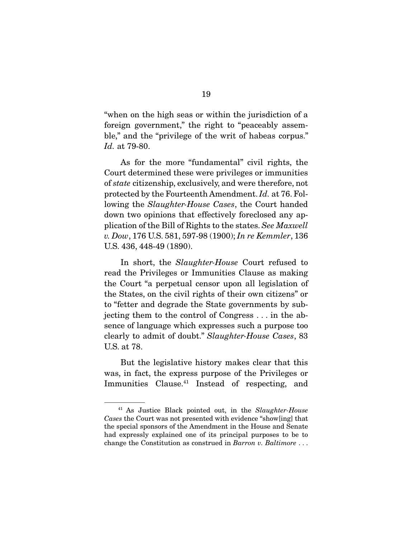"when on the high seas or within the jurisdiction of a foreign government," the right to "peaceably assemble," and the "privilege of the writ of habeas corpus." *Id.* at 79-80.

 As for the more "fundamental" civil rights, the Court determined these were privileges or immunities of *state* citizenship, exclusively, and were therefore, not protected by the Fourteenth Amendment. *Id.* at 76. Following the *Slaughter-House Cases*, the Court handed down two opinions that effectively foreclosed any application of the Bill of Rights to the states. *See Maxwell v. Dow*, 176 U.S. 581, 597-98 (1900); *In re Kemmler*, 136 U.S. 436, 448-49 (1890).

 In short, the *Slaughter-House* Court refused to read the Privileges or Immunities Clause as making the Court "a perpetual censor upon all legislation of the States, on the civil rights of their own citizens" or to "fetter and degrade the State governments by subjecting them to the control of Congress . . . in the absence of language which expresses such a purpose too clearly to admit of doubt." *Slaughter-House Cases*, 83 U.S. at 78.

 But the legislative history makes clear that this was, in fact, the express purpose of the Privileges or Immunities Clause.41 Instead of respecting, and

<sup>41</sup> As Justice Black pointed out, in the *Slaughter-House Cases* the Court was not presented with evidence "show[ing] that the special sponsors of the Amendment in the House and Senate had expressly explained one of its principal purposes to be to change the Constitution as construed in *Barron v. Baltimore* . . .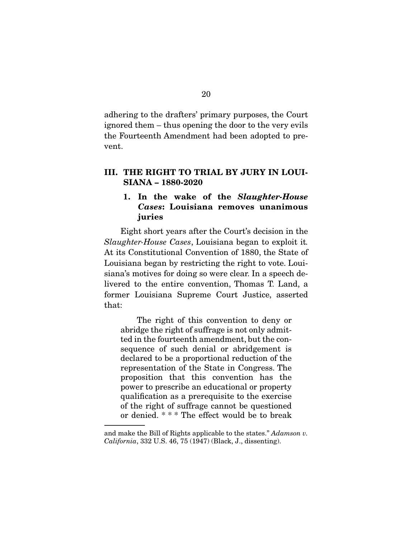adhering to the drafters' primary purposes, the Court ignored them – thus opening the door to the very evils the Fourteenth Amendment had been adopted to prevent.

## III. THE RIGHT TO TRIAL BY JURY IN LOUI-SIANA – 1880-2020

## 1. In the wake of the *Slaughter-House Cases*: Louisiana removes unanimous juries

 Eight short years after the Court's decision in the *Slaughter-House Cases*, Louisiana began to exploit it*.*  At its Constitutional Convention of 1880, the State of Louisiana began by restricting the right to vote. Louisiana's motives for doing so were clear. In a speech delivered to the entire convention, Thomas T. Land, a former Louisiana Supreme Court Justice, asserted that:

 The right of this convention to deny or abridge the right of suffrage is not only admitted in the fourteenth amendment, but the consequence of such denial or abridgement is declared to be a proportional reduction of the representation of the State in Congress. The proposition that this convention has the power to prescribe an educational or property qualification as a prerequisite to the exercise of the right of suffrage cannot be questioned or denied. \* \* \* The effect would be to break

and make the Bill of Rights applicable to the states." *Adamson v. California*, 332 U.S. 46, 75 (1947) (Black, J., dissenting).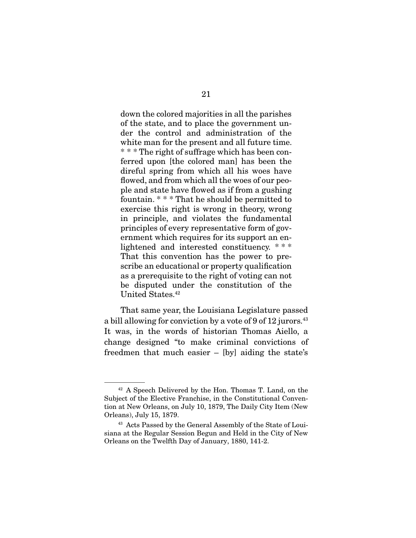down the colored majorities in all the parishes of the state, and to place the government under the control and administration of the white man for the present and all future time. \* \* \* The right of suffrage which has been conferred upon [the colored man] has been the direful spring from which all his woes have flowed, and from which all the woes of our people and state have flowed as if from a gushing fountain. \* \* \* That he should be permitted to exercise this right is wrong in theory, wrong in principle, and violates the fundamental principles of every representative form of government which requires for its support an enlightened and interested constituency. \* \* \* That this convention has the power to prescribe an educational or property qualification as a prerequisite to the right of voting can not be disputed under the constitution of the United States.<sup>42</sup>

 That same year, the Louisiana Legislature passed a bill allowing for conviction by a vote of 9 of 12 jurors.<sup>43</sup> It was, in the words of historian Thomas Aiello, a change designed "to make criminal convictions of freedmen that much easier – [by] aiding the state's

<sup>42</sup> A Speech Delivered by the Hon. Thomas T. Land, on the Subject of the Elective Franchise, in the Constitutional Convention at New Orleans, on July 10, 1879, The Daily City Item (New Orleans), July 15, 1879.

<sup>43</sup> Acts Passed by the General Assembly of the State of Louisiana at the Regular Session Begun and Held in the City of New Orleans on the Twelfth Day of January, 1880, 141-2.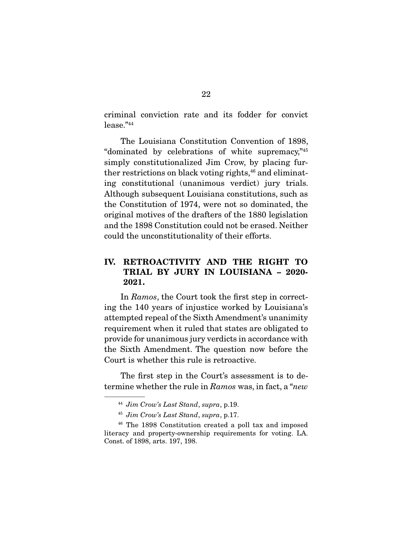criminal conviction rate and its fodder for convict lease."44

 The Louisiana Constitution Convention of 1898, "dominated by celebrations of white supremacy,"45 simply constitutionalized Jim Crow, by placing further restrictions on black voting rights, $46$  and eliminating constitutional (unanimous verdict) jury trials. Although subsequent Louisiana constitutions, such as the Constitution of 1974, were not so dominated, the original motives of the drafters of the 1880 legislation and the 1898 Constitution could not be erased. Neither could the unconstitutionality of their efforts.

## IV. RETROACTIVITY AND THE RIGHT TO TRIAL BY JURY IN LOUISIANA – 2020- 2021.

 In *Ramos*, the Court took the first step in correcting the 140 years of injustice worked by Louisiana's attempted repeal of the Sixth Amendment's unanimity requirement when it ruled that states are obligated to provide for unanimous jury verdicts in accordance with the Sixth Amendment. The question now before the Court is whether this rule is retroactive.

 The first step in the Court's assessment is to determine whether the rule in *Ramos* was, in fact, a "*new*

<sup>44</sup> *Jim Crow's Last Stand*, *supra*, p.19.

<sup>45</sup> *Jim Crow's Last Stand*, *supra*, p.17.

<sup>46</sup> The 1898 Constitution created a poll tax and imposed literacy and property-ownership requirements for voting. LA. Const. of 1898, arts. 197, 198.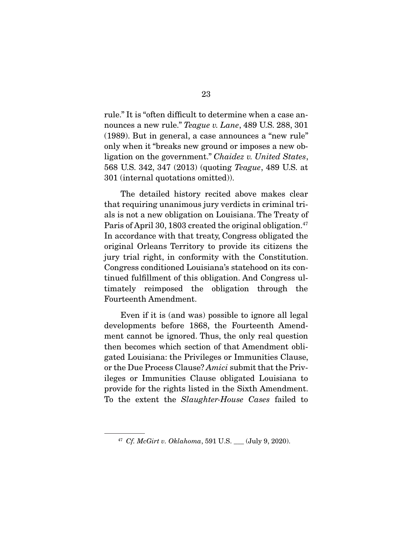rule." It is "often difficult to determine when a case announces a new rule." *Teague v. Lane*, 489 U.S. 288, 301 (1989). But in general, a case announces a "new rule" only when it "breaks new ground or imposes a new obligation on the government." *Chaidez v. United States*, 568 U.S. 342, 347 (2013) (quoting *Teague*, 489 U.S. at 301 (internal quotations omitted)).

 The detailed history recited above makes clear that requiring unanimous jury verdicts in criminal trials is not a new obligation on Louisiana. The Treaty of Paris of April 30, 1803 created the original obligation.<sup>47</sup> In accordance with that treaty, Congress obligated the original Orleans Territory to provide its citizens the jury trial right, in conformity with the Constitution. Congress conditioned Louisiana's statehood on its continued fulfillment of this obligation. And Congress ultimately reimposed the obligation through the Fourteenth Amendment.

 Even if it is (and was) possible to ignore all legal developments before 1868, the Fourteenth Amendment cannot be ignored. Thus, the only real question then becomes which section of that Amendment obligated Louisiana: the Privileges or Immunities Clause, or the Due Process Clause? *Amici* submit that the Privileges or Immunities Clause obligated Louisiana to provide for the rights listed in the Sixth Amendment. To the extent the *Slaughter-House Cases* failed to

<sup>&</sup>lt;sup>47</sup> *Cf. McGirt v. Oklahoma*, 591 U.S. (July 9, 2020).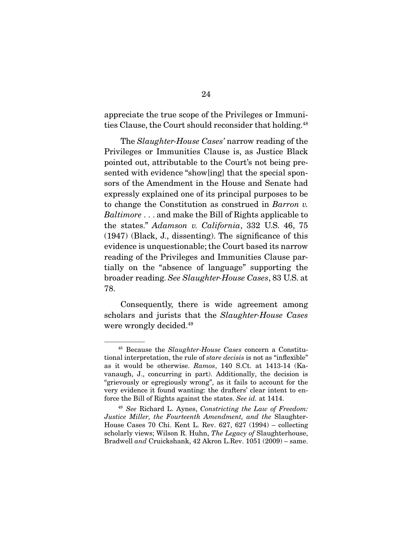appreciate the true scope of the Privileges or Immunities Clause, the Court should reconsider that holding.<sup>48</sup>

 The *Slaughter-House Cases'* narrow reading of the Privileges or Immunities Clause is, as Justice Black pointed out, attributable to the Court's not being presented with evidence "show[ing] that the special sponsors of the Amendment in the House and Senate had expressly explained one of its principal purposes to be to change the Constitution as construed in *Barron v. Baltimore* . . . and make the Bill of Rights applicable to the states." *Adamson v. California*, 332 U.S. 46, 75 (1947) (Black, J., dissenting). The significance of this evidence is unquestionable; the Court based its narrow reading of the Privileges and Immunities Clause partially on the "absence of language" supporting the broader reading. *See Slaughter-House Cases*, 83 U.S. at 78.

 Consequently, there is wide agreement among scholars and jurists that the *Slaughter-House Cases*  were wrongly decided.<sup>49</sup>

<sup>48</sup> Because the *Slaughter-House Cases* concern a Constitutional interpretation, the rule of *stare decisis* is not as "inflexible" as it would be otherwise. *Ramos*, 140 S.Ct. at 1413-14 (Kavanaugh, J., concurring in part). Additionally, the decision is "grievously or egregiously wrong", as it fails to account for the very evidence it found wanting: the drafters' clear intent to enforce the Bill of Rights against the states. *See id.* at 1414.

<sup>49</sup> *See* Richard L. Aynes, *Constricting the Law of Freedom: Justice Miller, the Fourteenth Amendment, and the* Slaughter-House Cases 70 Chi. Kent L. Rev. 627, 627 (1994) – collecting scholarly views; Wilson R. Huhn, *The Legacy of* Slaughterhouse, Bradwell *and* Cruickshank, 42 Akron L.Rev. 1051 (2009) – same.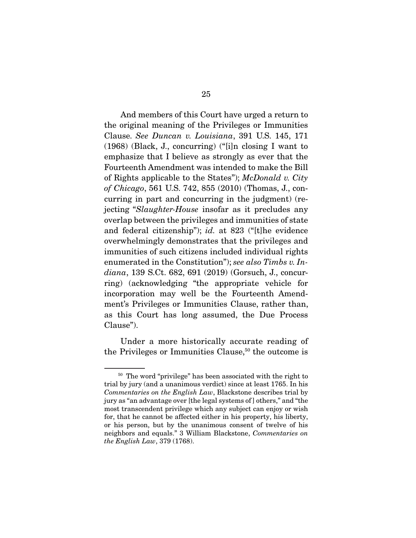And members of this Court have urged a return to the original meaning of the Privileges or Immunities Clause. *See Duncan v. Louisiana*, 391 U.S. 145, 171 (1968) (Black, J., concurring) ("[i]n closing I want to emphasize that I believe as strongly as ever that the Fourteenth Amendment was intended to make the Bill of Rights applicable to the States"); *McDonald v. City of Chicago*, 561 U.S. 742, 855 (2010) (Thomas, J., concurring in part and concurring in the judgment) (rejecting "*Slaughter-House* insofar as it precludes any overlap between the privileges and immunities of state and federal citizenship"); *id.* at 823 ("[t]he evidence overwhelmingly demonstrates that the privileges and immunities of such citizens included individual rights enumerated in the Constitution"); *see also Timbs v. Indiana*, 139 S.Ct. 682, 691 (2019) (Gorsuch, J., concurring) (acknowledging "the appropriate vehicle for incorporation may well be the Fourteenth Amendment's Privileges or Immunities Clause, rather than, as this Court has long assumed, the Due Process Clause").

 Under a more historically accurate reading of the Privileges or Immunities Clause,<sup>50</sup> the outcome is

<sup>50</sup> The word "privilege" has been associated with the right to trial by jury (and a unanimous verdict) since at least 1765. In his *Commentaries on the English Law*, Blackstone describes trial by jury as "an advantage over [the legal systems of ] others," and "the most transcendent privilege which any subject can enjoy or wish for, that he cannot be affected either in his property, his liberty, or his person, but by the unanimous consent of twelve of his neighbors and equals." 3 William Blackstone, *Commentaries on the English Law*, 379 (1768).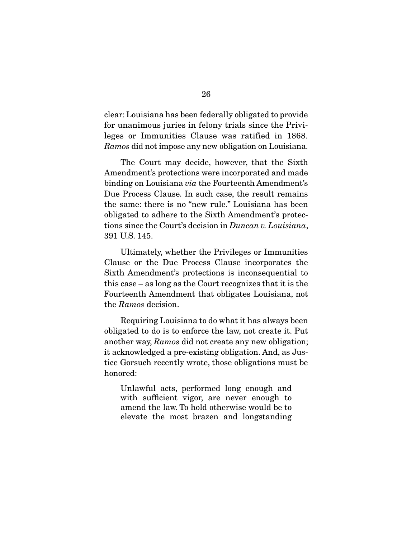clear: Louisiana has been federally obligated to provide for unanimous juries in felony trials since the Privileges or Immunities Clause was ratified in 1868. *Ramos* did not impose any new obligation on Louisiana.

 The Court may decide, however, that the Sixth Amendment's protections were incorporated and made binding on Louisiana *via* the Fourteenth Amendment's Due Process Clause. In such case, the result remains the same: there is no "new rule." Louisiana has been obligated to adhere to the Sixth Amendment's protections since the Court's decision in *Duncan v. Louisiana*, 391 U.S. 145.

 Ultimately, whether the Privileges or Immunities Clause or the Due Process Clause incorporates the Sixth Amendment's protections is inconsequential to this case – as long as the Court recognizes that it is the Fourteenth Amendment that obligates Louisiana, not the *Ramos* decision.

 Requiring Louisiana to do what it has always been obligated to do is to enforce the law, not create it. Put another way, *Ramos* did not create any new obligation; it acknowledged a pre-existing obligation. And, as Justice Gorsuch recently wrote, those obligations must be honored:

Unlawful acts, performed long enough and with sufficient vigor, are never enough to amend the law. To hold otherwise would be to elevate the most brazen and longstanding